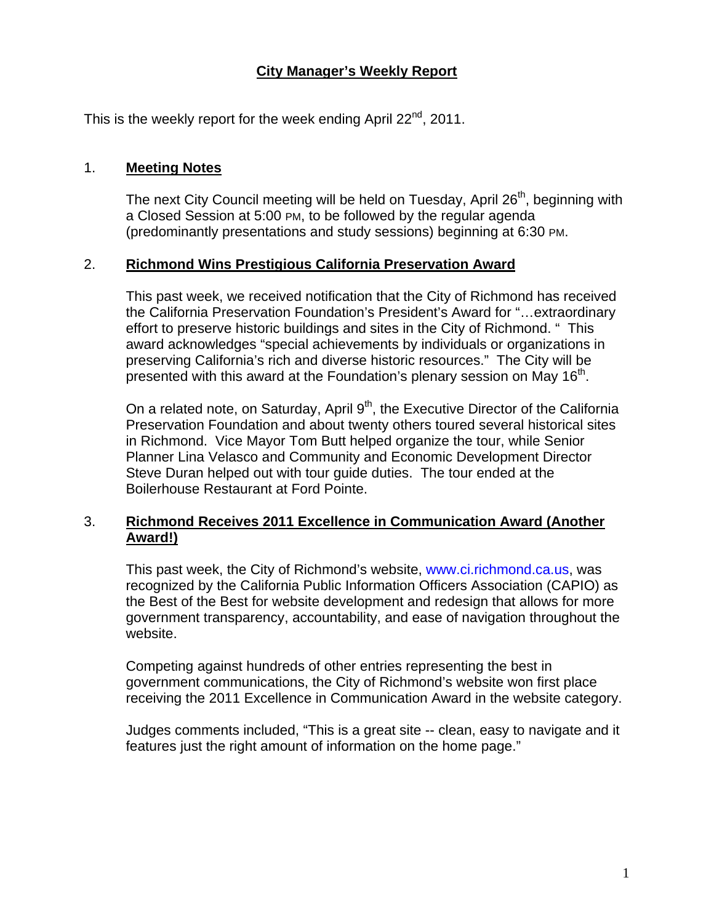# **City Manager's Weekly Report**

This is the weekly report for the week ending April  $22^{nd}$ , 2011.

#### 1. **Meeting Notes**

The next City Council meeting will be held on Tuesday, April  $26<sup>th</sup>$ , beginning with a Closed Session at 5:00 PM, to be followed by the regular agenda (predominantly presentations and study sessions) beginning at 6:30 PM.

#### 2. **Richmond Wins Prestigious California Preservation Award**

This past week, we received notification that the City of Richmond has received the [California Preservation Foundation'](http://www.californiapreservation.org/)s President's Award for "…extraordinary effort to preserve historic buildings and sites in the City of Richmond. " This award acknowledges "special achievements by individuals or organizations in preserving California's rich and diverse historic resources." The City will be presented with this award at the Foundation's plenary session on May  $16<sup>th</sup>$ .

On a related note, on Saturday, April  $9<sup>th</sup>$ , the Executive Director of the California Preservation Foundation and about twenty others toured several historical sites in Richmond. Vice Mayor Tom Butt helped organize the tour, while Senior Planner Lina Velasco and Community and Economic Development Director Steve Duran helped out with tour guide duties. The tour ended at the Boilerhouse Restaurant at Ford Pointe.

## 3. **Richmond Receives 2011 Excellence in Communication Award (Another Award!)**

This past week, the City of Richmond's website, [www.ci.richmond.ca.us](http://www.ci.richmond.ca.us/), was recognized by the California Public Information Officers Association (CAPIO) as the Best of the Best for website development and redesign that allows for more government transparency, accountability, and ease of navigation throughout the website.

Competing against hundreds of other entries representing the best in government communications, the City of Richmond's website won first place receiving the 2011 Excellence in Communication Award in the website category.

Judges comments included, "This is a great site -- clean, easy to navigate and it features just the right amount of information on the home page."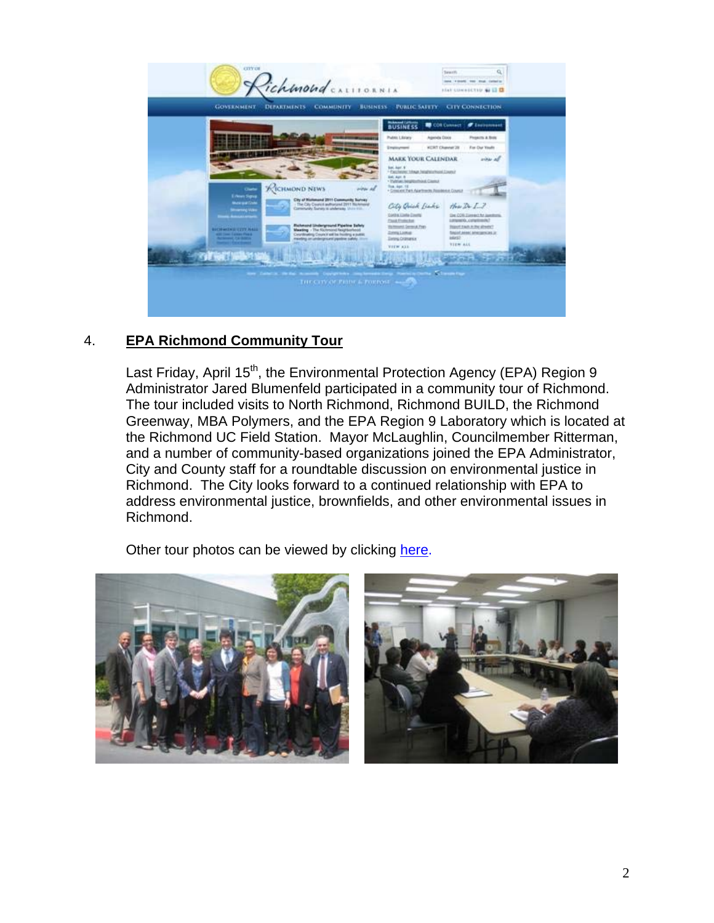

# 4. **EPA Richmond Community Tour**

Last Friday, April 15<sup>th</sup>, the Environmental Protection Agency (EPA) Region 9 Administrator Jared Blumenfeld participated in a community tour of Richmond. The tour included visits to North Richmond, Richmond BUILD, the Richmond Greenway, MBA Polymers, and the EPA Region 9 Laboratory which is located at the Richmond UC Field Station. Mayor McLaughlin, Councilmember Ritterman, and a number of community-based organizations joined the EPA Administrator, City and County staff for a roundtable discussion on environmental justice in Richmond. The City looks forward to a continued relationship with EPA to address environmental justice, brownfields, and other environmental issues in Richmond.

Other tour photos can be viewed by clicking [here](http://www.flickr.com/photos/richmondenvironment/sets/72157626542689400/).

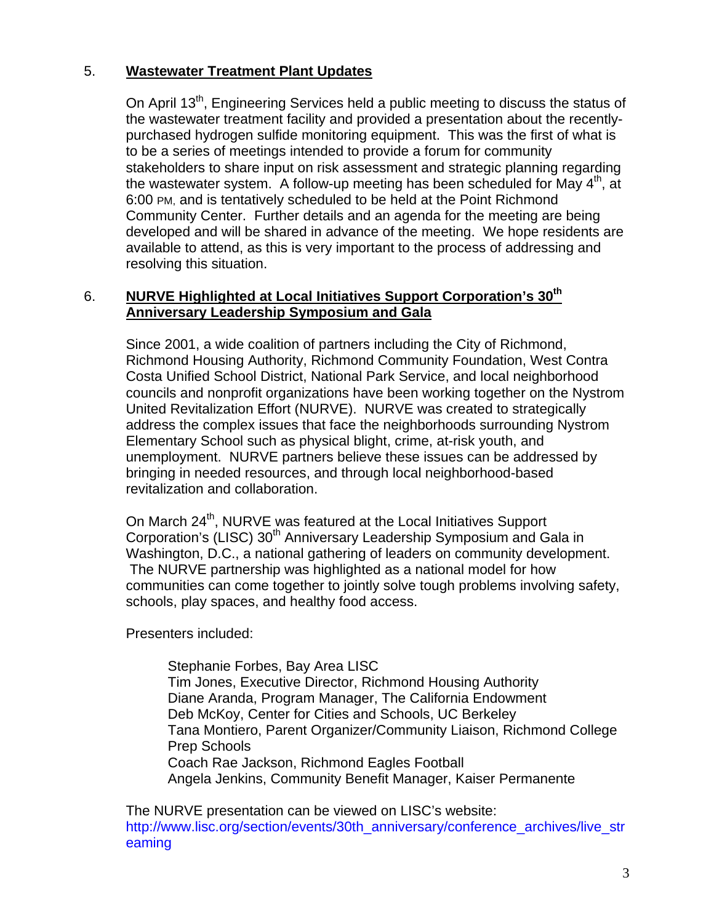# 5. **Wastewater Treatment Plant Updates**

On April 13<sup>th</sup>, Engineering Services held a public meeting to discuss the status of the wastewater treatment facility and provided a presentation about the recentlypurchased hydrogen sulfide monitoring equipment. This was the first of what is to be a series of meetings intended to provide a forum for community stakeholders to share input on risk assessment and strategic planning regarding the wastewater system. A follow-up meeting has been scheduled for May  $4<sup>th</sup>$ , at 6:00 PM, and is tentatively scheduled to be held at the Point Richmond Community Center. Further details and an agenda for the meeting are being developed and will be shared in advance of the meeting. We hope residents are available to attend, as this is very important to the process of addressing and resolving this situation.

## 6. **NURVE Highlighted at Local Initiatives Support Corporation's 30th Anniversary Leadership Symposium and Gala**

Since 2001, a wide coalition of partners including the City of Richmond, Richmond Housing Authority, Richmond Community Foundation, West Contra Costa Unified School District, National Park Service, and local neighborhood councils and nonprofit organizations have been working together on the Nystrom United Revitalization Effort (NURVE). NURVE was created to strategically address the complex issues that face the neighborhoods surrounding Nystrom Elementary School such as physical blight, crime, at-risk youth, and unemployment. NURVE partners believe these issues can be addressed by bringing in needed resources, and through local neighborhood-based revitalization and collaboration.

On March 24<sup>th</sup>, NURVE was featured at the Local Initiatives Support Corporation's (LISC) 30<sup>th</sup> Anniversary Leadership Symposium and Gala in Washington, D.C., a national gathering of leaders on community development. The NURVE partnership was highlighted as a national model for how communities can come together to jointly solve tough problems involving safety, schools, play spaces, and healthy food access.

Presenters included:

Stephanie Forbes, Bay Area LISC Tim Jones, Executive Director, Richmond Housing Authority Diane Aranda, Program Manager, The California Endowment Deb McKoy, Center for Cities and Schools, UC Berkeley Tana Montiero, Parent Organizer/Community Liaison, Richmond College Prep Schools Coach Rae Jackson, Richmond Eagles Football Angela Jenkins, Community Benefit Manager, Kaiser Permanente

The NURVE presentation can be viewed on LISC's website: [http://www.lisc.org/section/events/30th\\_anniversary/conference\\_archives/live\\_str](http://www.lisc.org/section/events/30th_anniversary/conference_archives/live_streaming) [eaming](http://www.lisc.org/section/events/30th_anniversary/conference_archives/live_streaming)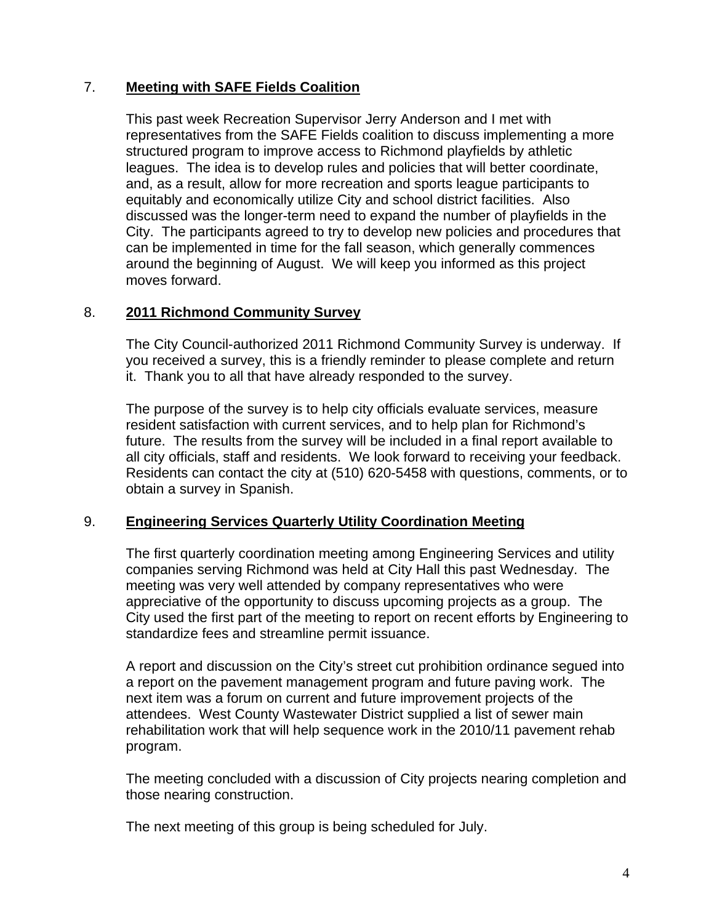## 7. **Meeting with SAFE Fields Coalition**

This past week Recreation Supervisor Jerry Anderson and I met with representatives from the SAFE Fields coalition to discuss implementing a more structured program to improve access to Richmond playfields by athletic leagues. The idea is to develop rules and policies that will better coordinate, and, as a result, allow for more recreation and sports league participants to equitably and economically utilize City and school district facilities. Also discussed was the longer-term need to expand the number of playfields in the City. The participants agreed to try to develop new policies and procedures that can be implemented in time for the fall season, which generally commences around the beginning of August. We will keep you informed as this project moves forward.

## 8. **2011 Richmond Community Survey**

The City Council-authorized 2011 Richmond Community Survey is underway. If you received a survey, this is a friendly reminder to please complete and return it. Thank you to all that have already responded to the survey.

The purpose of the survey is to help city officials evaluate services, measure resident satisfaction with current services, and to help plan for Richmond's future. The results from the survey will be included in a final report available to all city officials, staff and residents. We look forward to receiving your feedback. Residents can contact the city at (510) 620-5458 with questions, comments, or to obtain a survey in Spanish.

#### 9. **Engineering Services Quarterly Utility Coordination Meeting**

The first quarterly coordination meeting among Engineering Services and utility companies serving Richmond was held at City Hall this past Wednesday. The meeting was very well attended by company representatives who were appreciative of the opportunity to discuss upcoming projects as a group. The City used the first part of the meeting to report on recent efforts by Engineering to standardize fees and streamline permit issuance.

A report and discussion on the City's street cut prohibition ordinance segued into a report on the pavement management program and future paving work. The next item was a forum on current and future improvement projects of the attendees. West County Wastewater District supplied a list of sewer main rehabilitation work that will help sequence work in the 2010/11 pavement rehab program.

The meeting concluded with a discussion of City projects nearing completion and those nearing construction.

The next meeting of this group is being scheduled for July.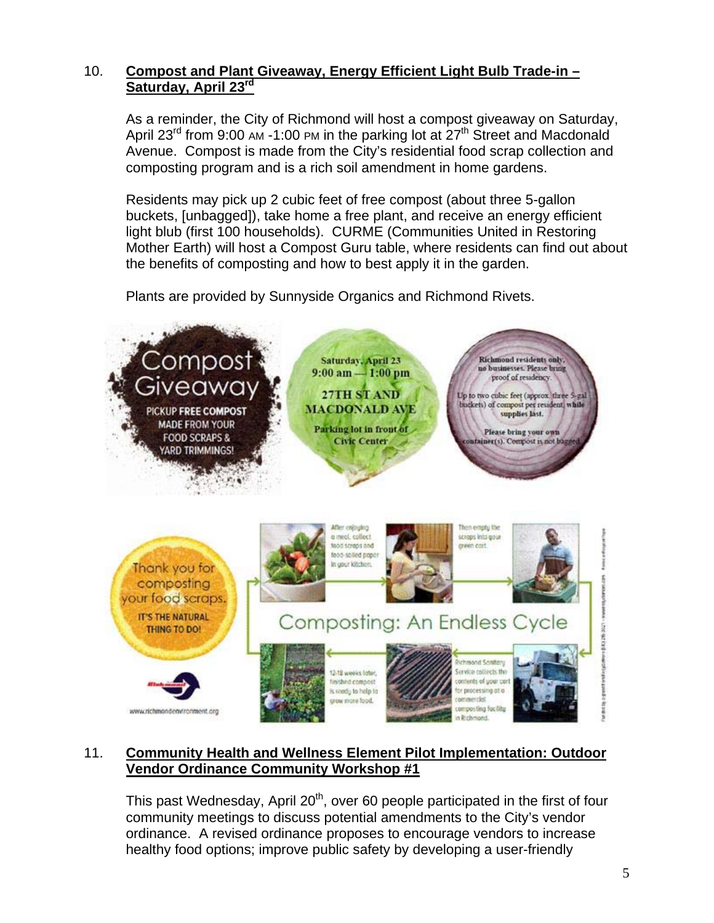# 10. **Compost and Plant Giveaway, Energy Efficient Light Bulb Trade-in – Saturday, April 23rd**

As a reminder, the City of Richmond will host a compost giveaway on Saturday, April 23<sup>rd</sup> from 9:00 AM -1:00 PM in the parking lot at  $27<sup>th</sup>$  Street and Macdonald Avenue. Compost is made from the City's residential food scrap collection and composting program and is a rich soil amendment in home gardens.

Residents may pick up 2 cubic feet of free compost (about three 5-gallon buckets, [unbagged]), take home a free plant, and receive an energy efficient light blub (first 100 households). CURME (Communities United in Restoring Mother Earth) will host a Compost Guru table, where residents can find out about the benefits of composting and how to best apply it in the garden.

Plants are provided by Sunnyside Organics and Richmond Rivets.



# 11. **Community Health and Wellness Element Pilot Implementation: Outdoor Vendor Ordinance Community Workshop #1**

This past Wednesday, April  $20<sup>th</sup>$ , over 60 people participated in the first of four community meetings to discuss potential amendments to the City's vendor ordinance. A revised ordinance proposes to encourage vendors to increase healthy food options; improve public safety by developing a user-friendly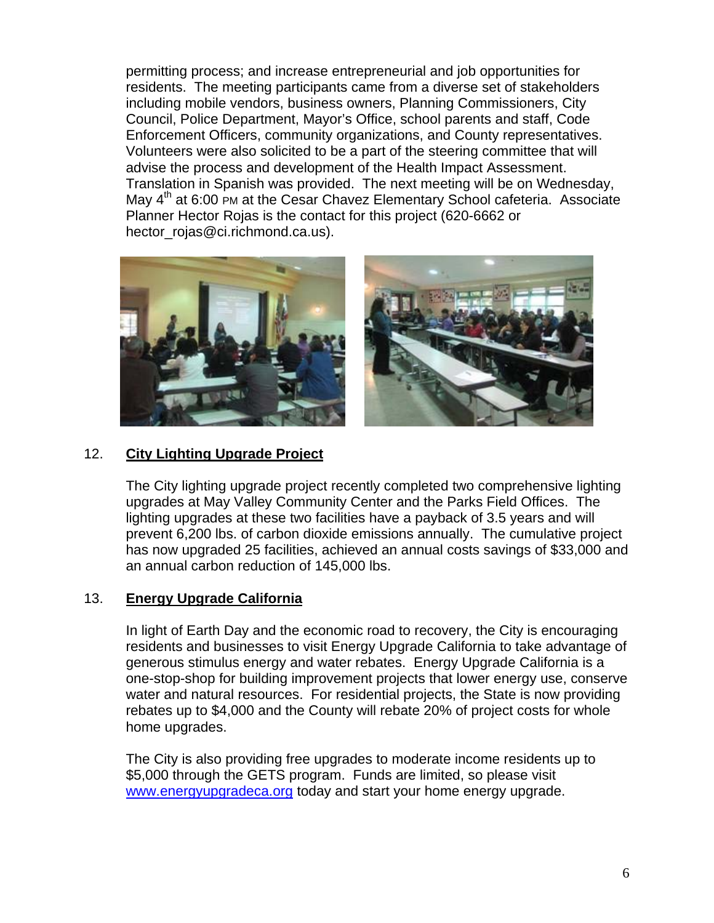permitting process; and increase entrepreneurial and job opportunities for residents. The meeting participants came from a diverse set of stakeholders including mobile vendors, business owners, Planning Commissioners, City Council, Police Department, Mayor's Office, school parents and staff, Code Enforcement Officers, community organizations, and County representatives. Volunteers were also solicited to be a part of the steering committee that will advise the process and development of the Health Impact Assessment. Translation in Spanish was provided. The next meeting will be on Wednesday, May 4<sup>th</sup> at 6:00 PM at the Cesar Chavez Elementary School cafeteria. Associate Planner Hector Rojas is the contact for this project (620-6662 or hector\_roias@ci.richmond.ca.us).



## 12. **City Lighting Upgrade Project**

The City lighting upgrade project recently completed two comprehensive lighting upgrades at May Valley Community Center and the Parks Field Offices. The lighting upgrades at these two facilities have a payback of 3.5 years and will prevent 6,200 lbs. of carbon dioxide emissions annually. The cumulative project has now upgraded 25 facilities, achieved an annual costs savings of \$33,000 and an annual carbon reduction of 145,000 lbs.

#### 13. **Energy Upgrade California**

In light of Earth Day and the economic road to recovery, the City is encouraging residents and businesses to visit Energy Upgrade California to take advantage of generous stimulus energy and water rebates. Energy Upgrade California is a one-stop-shop for building improvement projects that lower energy use, conserve water and natural resources. For residential projects, the State is now providing rebates up to \$4,000 and the County will rebate 20% of project costs for whole home upgrades.

The City is also providing free upgrades to moderate income residents up to \$5,000 through the GETS program. Funds are limited, so please visit [www.energyupgradeca.org](http://www.energyupgradeca.org/) today and start your home energy upgrade.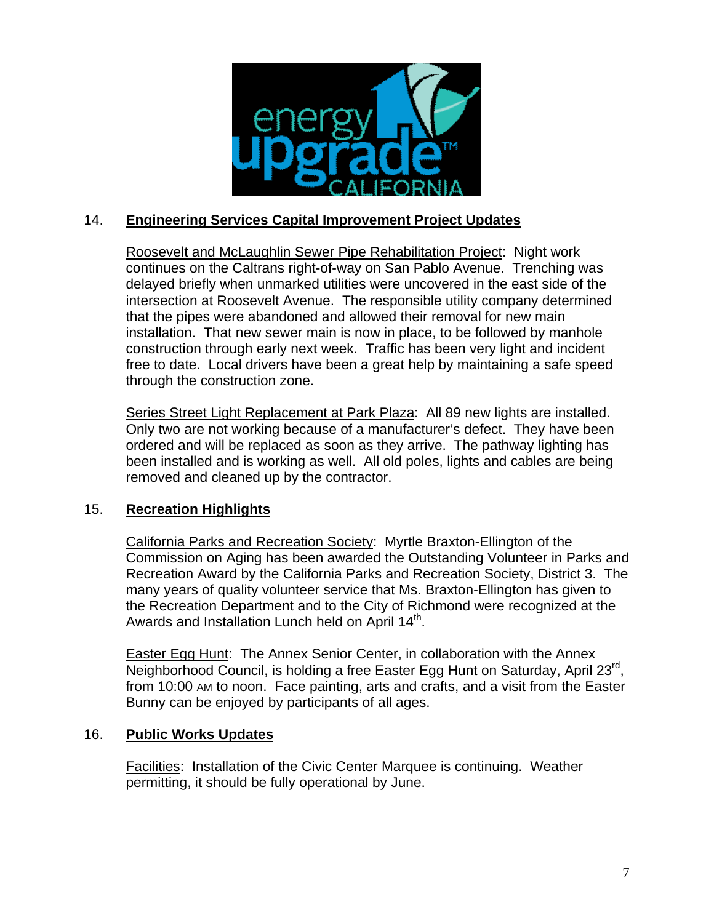

# 14. **Engineering Services Capital Improvement Project Updates**

Roosevelt and McLaughlin Sewer Pipe Rehabilitation Project: Night work continues on the Caltrans right-of-way on San Pablo Avenue. Trenching was delayed briefly when unmarked utilities were uncovered in the east side of the intersection at Roosevelt Avenue. The responsible utility company determined that the pipes were abandoned and allowed their removal for new main installation. That new sewer main is now in place, to be followed by manhole construction through early next week. Traffic has been very light and incident free to date. Local drivers have been a great help by maintaining a safe speed through the construction zone.

Series Street Light Replacement at Park Plaza: All 89 new lights are installed. Only two are not working because of a manufacturer's defect. They have been ordered and will be replaced as soon as they arrive. The pathway lighting has been installed and is working as well. All old poles, lights and cables are being removed and cleaned up by the contractor.

# 15. **Recreation Highlights**

California Parks and Recreation Society: Myrtle Braxton-Ellington of the Commission on Aging has been awarded the Outstanding Volunteer in Parks and Recreation Award by the California Parks and Recreation Society, District 3. The many years of quality volunteer service that Ms. Braxton-Ellington has given to the Recreation Department and to the City of Richmond were recognized at the Awards and Installation Lunch held on April 14<sup>th</sup>.

Easter Egg Hunt: The Annex Senior Center, in collaboration with the Annex Neighborhood Council, is holding a free Easter Egg Hunt on Saturday, April 23<sup>rd</sup>, from 10:00 AM to noon. Face painting, arts and crafts, and a visit from the Easter Bunny can be enjoyed by participants of all ages.

#### 16. **Public Works Updates**

Facilities: Installation of the Civic Center Marquee is continuing. Weather permitting, it should be fully operational by June.